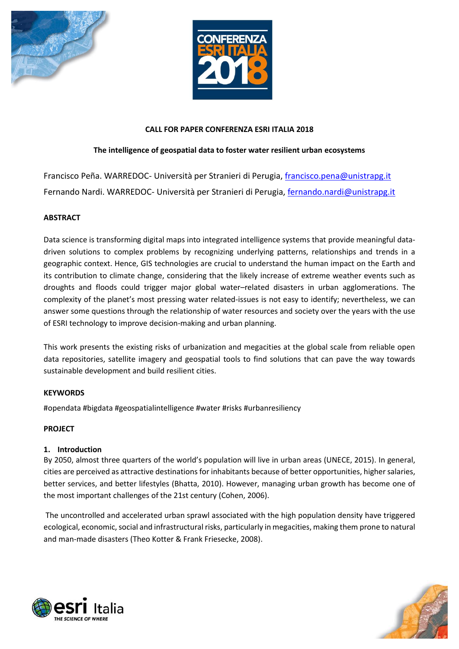



#### **CALL FOR PAPER CONFERENZA ESRI ITALIA 2018**

# **The intelligence of geospatial data to foster water resilient urban ecosystems**

Francisco Peña. WARREDOC- Università per Stranieri di Perugia, [francisco.pena@unistrapg.it](mailto:francisco.pena@unistrapg.it) Fernando Nardi. WARREDOC- Università per Stranieri di Perugia, [fernando.nardi@unistrapg.it](mailto:fernando.nardi@unistrapg.it)

# **ABSTRACT**

Data science is transforming digital maps into integrated intelligence systems that provide meaningful datadriven solutions to complex problems by recognizing underlying patterns, relationships and trends in a geographic context. Hence, GIS technologies are crucial to understand the human impact on the Earth and its contribution to climate change, considering that the likely increase of extreme weather events such as droughts and floods could trigger major global water–related disasters in urban agglomerations. The complexity of the planet's most pressing water related-issues is not easy to identify; nevertheless, we can answer some questions through the relationship of water resources and society over the years with the use of ESRI technology to improve decision-making and urban planning.

This work presents the existing risks of urbanization and megacities at the global scale from reliable open data repositories, satellite imagery and geospatial tools to find solutions that can pave the way towards sustainable development and build resilient cities.

### **KEYWORDS**

#opendata #bigdata #geospatialintelligence #water #risks #urbanresiliency

### **PROJECT**

### **1. Introduction**

By 2050, almost three quarters of the world's population will live in urban areas (UNECE, 2015). In general, cities are perceived as attractive destinations for inhabitants because of better opportunities, higher salaries, better services, and better lifestyles (Bhatta, 2010). However, managing urban growth has become one of the most important challenges of the 21st century (Cohen, 2006).

The uncontrolled and accelerated urban sprawl associated with the high population density have triggered ecological, economic, social and infrastructural risks, particularly in megacities, making them prone to natural and man-made disasters (Theo Kotter & Frank Friesecke, 2008).



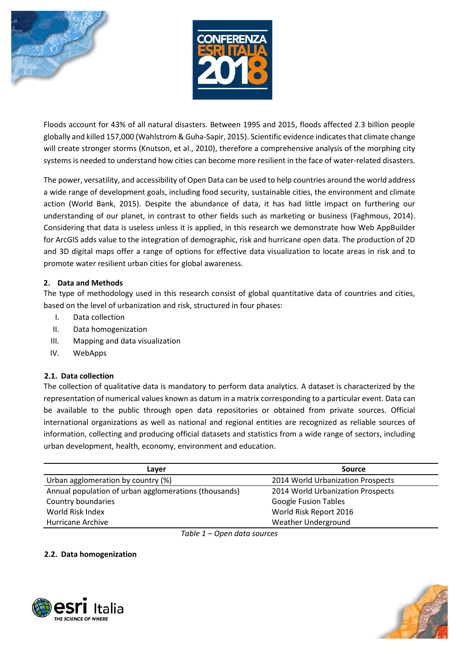



Floods account for 43% of all natural disasters. Between 1995 and 2015, floods affected 2.3 billion people globally and killed 157,000 (Wahlstrom & Guha-Sapir, 2015). Scientific evidence indicates that climate change will create stronger storms (Knutson, et al., 2010), therefore a comprehensive analysis of the morphing city systems is needed to understand how cities can become more resilient in the face of water-related disasters.

The power, versatility, and accessibility of Open Data can be used to help countries around the world address a wide range of development goals, including food security, sustainable cities, the environment and climate action (World Bank, 2015). Despite the abundance of data, it has had little impact on furthering our understanding of our planet, in contrast to other fields such as marketing or business (Faghmous, 2014). Considering that data is useless unless it is applied, in this research we demonstrate how Web AppBuilder for ArcGIS adds value to the integration of demographic, risk and hurricane open data. The production of 2D and 3D digital maps offer a range of options for effective data visualization to locate areas in risk and to promote water resilient urban cities for global awareness.

# **2. Data and Methods**

The type of methodology used in this research consist of global quantitative data of countries and cities, based on the level of urbanization and risk, structured in four phases:

- I. Data collection
- II. Data homogenization
- III. Mapping and data visualization
- IV. WebApps

# **2.1. Data collection**

The collection of qualitative data is mandatory to perform data analytics. A dataset is characterized by the representation of numerical values known as datum in a matrix corresponding to a particular event. Data can be available to the public through open data repositories or obtained from private sources. Official international organizations as well as national and regional entities are recognized as reliable sources of information, collecting and producing official datasets and statistics from a wide range of sectors, including urban development, health, economy, environment and education.

| Laver                                                 | <b>Source</b>                     |
|-------------------------------------------------------|-----------------------------------|
| Urban agglomeration by country (%)                    | 2014 World Urbanization Prospects |
| Annual population of urban agglomerations (thousands) | 2014 World Urbanization Prospects |
| Country boundaries                                    | <b>Google Fusion Tables</b>       |
| World Risk Index                                      | World Risk Report 2016            |
| Hurricane Archive                                     | Weather Underground               |

*Table 1 – Open data sources*

### **2.2. Data homogenization**



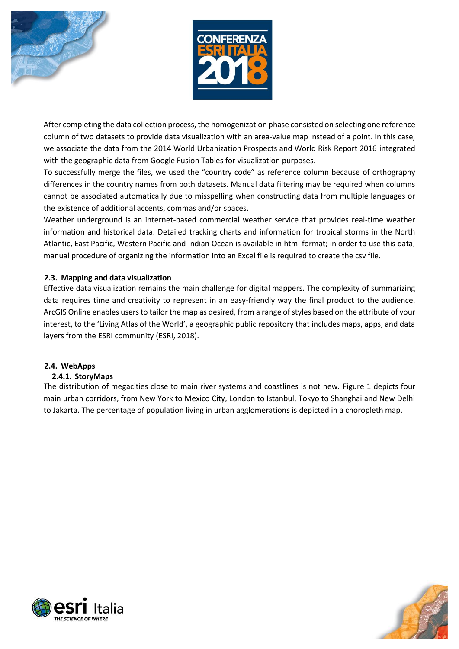



After completing the data collection process, the homogenization phase consisted on selecting one reference column of two datasets to provide data visualization with an area-value map instead of a point. In this case, we associate the data from the 2014 World Urbanization Prospects and World Risk Report 2016 integrated with the geographic data from Google Fusion Tables for visualization purposes.

To successfully merge the files, we used the "country code" as reference column because of orthography differences in the country names from both datasets. Manual data filtering may be required when columns cannot be associated automatically due to misspelling when constructing data from multiple languages or the existence of additional accents, commas and/or spaces.

Weather underground is an internet-based commercial weather service that provides real-time weather information and historical data. Detailed tracking charts and information for tropical storms in the North Atlantic, East Pacific, Western Pacific and Indian Ocean is available in html format; in order to use this data, manual procedure of organizing the information into an Excel file is required to create the csv file.

# **2.3. Mapping and data visualization**

Effective data visualization remains the main challenge for digital mappers. The complexity of summarizing data requires time and creativity to represent in an easy-friendly way the final product to the audience. ArcGIS Online enables users to tailor the map as desired, from a range of styles based on the attribute of your interest, to the 'Living Atlas of the World', a geographic public repository that includes maps, apps, and data layers from the ESRI community (ESRI, 2018).

### **2.4. WebApps**

### **2.4.1. StoryMaps**

The distribution of megacities close to main river systems and coastlines is not new. Figure 1 depicts four main urban corridors, from New York to Mexico City, London to Istanbul, Tokyo to Shanghai and New Delhi to Jakarta. The percentage of population living in urban agglomerations is depicted in a choropleth map.



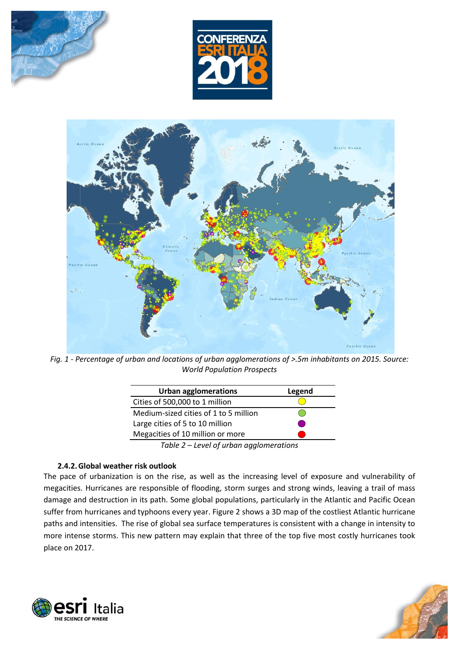





*Fig. 1 - Percentage of urban and locations of urban agglomerations of >.5m inhabitants on 2015. Source: World Population Prospects*

| <b>Urban agglomerations</b>           | Legend |
|---------------------------------------|--------|
| Cities of 500,000 to 1 million        |        |
| Medium-sized cities of 1 to 5 million |        |
| Large cities of 5 to 10 million       |        |
| Megacities of 10 million or more      |        |
| Table 2 Lough of urban gambonarations |        |

*Table 2 – Level of urban agglomerations*

### **2.4.2.Global weather risk outlook**

The pace of urbanization is on the rise, as well as the increasing level of exposure and vulnerability of megacities. Hurricanes are responsible of flooding, storm surges and strong winds, leaving a trail of mass damage and destruction in its path. Some global populations, particularly in the Atlantic and Pacific Ocean suffer from hurricanes and typhoons every year. Figure 2 shows a 3D map of the costliest Atlantic hurricane paths and intensities. The rise of global sea surface temperatures is consistent with a change in intensity to more intense storms. This new pattern may explain that three of the top five most costly hurricanes took place on 2017.



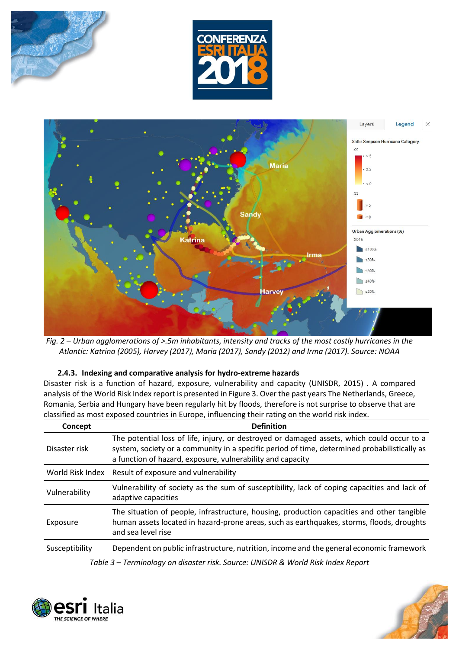





*Fig. 2 – Urban agglomerations of >.5m inhabitants, intensity and tracks of the most costly hurricanes in the Atlantic: Katrina (2005), Harvey (2017), Maria (2017), Sandy (2012) and Irma (2017). Source: NOAA*

### **2.4.3. Indexing and comparative analysis for hydro-extreme hazards**

Disaster risk is a function of hazard, exposure, vulnerability and capacity (UNISDR, 2015) . A compared analysis of the World Risk Index report is presented in Figure 3. Over the past years The Netherlands, Greece, Romania, Serbia and Hungary have been regularly hit by floods, therefore is not surprise to observe that are classified as most exposed countries in Europe, influencing their rating on the world risk index.

| Concept          | <b>Definition</b>                                                                                                                                                                                                                                        |
|------------------|----------------------------------------------------------------------------------------------------------------------------------------------------------------------------------------------------------------------------------------------------------|
| Disaster risk    | The potential loss of life, injury, or destroyed or damaged assets, which could occur to a<br>system, society or a community in a specific period of time, determined probabilistically as<br>a function of hazard, exposure, vulnerability and capacity |
| World Risk Index | Result of exposure and vulnerability                                                                                                                                                                                                                     |
| Vulnerability    | Vulnerability of society as the sum of susceptibility, lack of coping capacities and lack of<br>adaptive capacities                                                                                                                                      |
| Exposure         | The situation of people, infrastructure, housing, production capacities and other tangible<br>human assets located in hazard-prone areas, such as earthquakes, storms, floods, droughts<br>and sea level rise                                            |
| Susceptibility   | Dependent on public infrastructure, nutrition, income and the general economic framework                                                                                                                                                                 |

*Table 3 – Terminology on disaster risk. Source: UNISDR & World Risk Index Report*



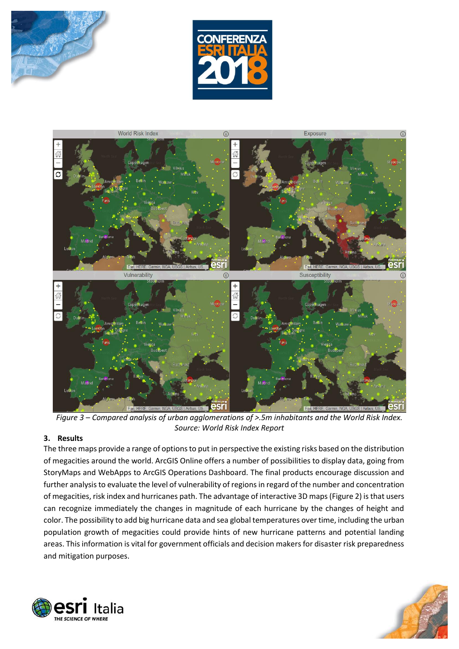





*Figure 3 – Compared analysis of urban agglomerations of >.5m inhabitants and the World Risk Index. Source: World Risk Index Report*

### **3. Results**

The three maps provide a range of options to put in perspective the existing risks based on the distribution of megacities around the world. ArcGIS Online offers a number of possibilities to display data, going from StoryMaps and WebApps to ArcGIS Operations Dashboard. The final products encourage discussion and further analysis to evaluate the level of vulnerability of regions in regard of the number and concentration of megacities, risk index and hurricanes path. The advantage of interactive 3D maps (Figure 2) is that users can recognize immediately the changes in magnitude of each hurricane by the changes of height and color. The possibility to add big hurricane data and sea global temperatures over time, including the urban population growth of megacities could provide hints of new hurricane patterns and potential landing areas. This information is vital for government officials and decision makers for disaster risk preparedness and mitigation purposes.